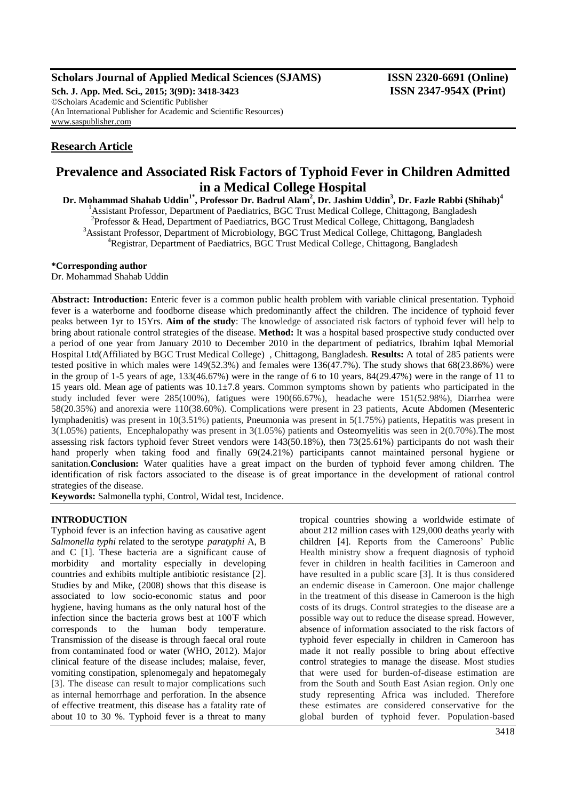### **Scholars Journal of Applied Medical Sciences (SJAMS) ISSN 2320-6691 (Online)**

**Sch. J. App. Med. Sci., 2015; 3(9D): 3418-3423 ISSN 2347-954X (Print)** ©Scholars Academic and Scientific Publisher (An International Publisher for Academic and Scientific Resources) [www.saspublisher.com](http://www.saspublisher.com/)

# **Research Article**

# **Prevalence and Associated Risk Factors of Typhoid Fever in Children Admitted in a Medical College Hospital**

**Dr. Mohammad Shahab Uddin1\* , Professor Dr. Badrul Alam<sup>2</sup> , Dr. Jashim Uddin<sup>3</sup> , Dr. Fazle Rabbi (Shihab)<sup>4</sup>** <sup>1</sup> Assistant Professor, Department of Paediatrics, BGC Trust Medical College, Chittagong, Bangladesh <sup>2</sup>Professor & Head, Department of Paediatrics, BGC Trust Medical College, Chittagong, Bangladesh <sup>3</sup> Assistant Professor, Department of Microbiology, BGC Trust Medical College, Chittagong, Bangladesh <sup>4</sup>Registrar, Department of Paediatrics, BGC Trust Medical College, Chittagong, Bangladesh

#### **\*Corresponding author**

Dr. Mohammad Shahab Uddin

Abstract: Introduction: Enteric fever is a common public health problem with variable clinical presentation. Typhoid fever is a waterborne and foodborne disease which predominantly affect the children. The incidence of typhoid fever peaks between 1yr to 15Yrs. **Aim of the study**: The knowledge of associated risk factors of typhoid fever will help to bring about rationale control strategies of the disease. **Method:** It was a hospital based prospective study conducted over a period of one year from January 2010 to December 2010 in the department of pediatrics, Ibrahim Iqbal Memorial Hospital Ltd(Affiliated by BGC Trust Medical College) , Chittagong, Bangladesh. **Results:** A total of 285 patients were tested positive in which males were 149(52.3%) and females were 136(47.7%). The study shows that 68(23.86%) were in the group of 1-5 years of age, 133(46.67%) were in the range of 6 to 10 years, 84(29.47%) were in the range of 11 to 15 years old. Mean age of patients was  $10.1 \pm 7.8$  years. Common symptoms shown by patients who participated in the study included fever were 285(100%), fatigues were 190(66.67%), headache were 151(52.98%), Diarrhea were 58(20.35%) and anorexia were 110(38.60%). Complications were present in 23 patients, Acute Abdomen (Mesenteric lymphadenitis) was present in 10(3.51%) patients, Pneumonia was present in 5(1.75%) patients, Hepatitis was present in 3(1.05%) patients, Encephalopathy was present in 3(1.05%) patients and Osteomyelitis was seen in 2(0.70%).The most assessing risk factors typhoid fever Street vendors were 143(50.18%), then 73(25.61%) participants do not wash their hand properly when taking food and finally 69(24.21%) participants cannot maintained personal hygiene or sanitation.**Conclusion:** Water qualities have a great impact on the burden of typhoid fever among children. The identification of risk factors associated to the disease is of great importance in the development of rational control strategies of the disease.

**Keywords:** Salmonella typhi, Control, Widal test, Incidence.

### **INTRODUCTION**

Typhoid fever is an infection having as causative agent *Salmonella typhi* related to the serotype *paratyphi* A, B and C [1]. These bacteria are a significant cause of morbidity and mortality especially in developing countries and exhibits multiple antibiotic resistance [2]. Studies by and Mike, (2008) shows that this disease is associated to low socio-economic status and poor hygiene, having humans as the only natural host of the infection since the bacteria grows best at 100◦ F which corresponds to the human body temperature. Transmission of the disease is through faecal oral route from contaminated food or water (WHO, 2012). Major clinical feature of the disease includes; malaise, fever, vomiting constipation, splenomegaly and hepatomegaly [3]. The disease can result tomajor complications such as internal hemorrhage and perforation. In the absence of effective treatment, this disease has a fatality rate of about 10 to 30 %. Typhoid fever is a threat to many

tropical countries showing a worldwide estimate of about 212 million cases with 129,000 deaths yearly with children [4]. Reports from the Cameroons' Public Health ministry show a frequent diagnosis of typhoid fever in children in health facilities in Cameroon and have resulted in a public scare [3]. It is thus considered an endemic disease in Cameroon. One major challenge in the treatment of this disease in Cameroon is the high costs of its drugs. Control strategies to the disease are a possible way out to reduce the disease spread. However, absence of information associated to the risk factors of typhoid fever especially in children in Cameroon has made it not really possible to bring about effective control strategies to manage the disease. Most studies that were used for burden-of-disease estimation are from the South and South East Asian region. Only one study representing Africa was included. Therefore these estimates are considered conservative for the global burden of typhoid fever. Population-based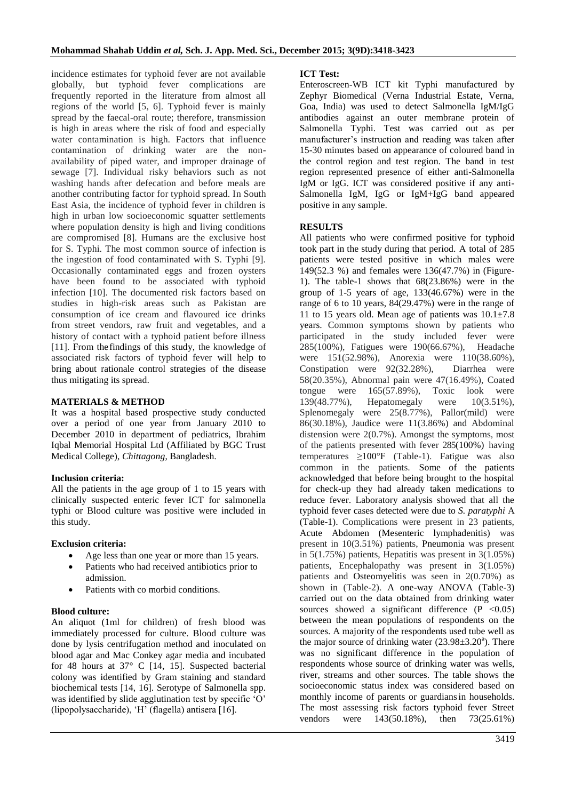incidence estimates for typhoid fever are not available globally, but typhoid fever complications are frequently reported in the literature from almost all regions of the world [5, 6]. Typhoid fever is mainly spread by the faecal-oral route; therefore, transmission is high in areas where the risk of food and especially water contamination is high. Factors that influence contamination of drinking water are the nonavailability of piped water, and improper drainage of sewage [7]. Individual risky behaviors such as not washing hands after defecation and before meals are another contributing factor for typhoid spread. In South East Asia, the incidence of typhoid fever in children is high in urban low socioeconomic squatter settlements where population density is high and living conditions are compromised [8]. Humans are the exclusive host for S. Typhi. The most common source of infection is the ingestion of food contaminated with S. Typhi [9]. Occasionally contaminated eggs and frozen oysters have been found to be associated with typhoid infection [10]. The documented risk factors based on studies in high-risk areas such as Pakistan are consumption of ice cream and flavoured ice drinks from street vendors, raw fruit and vegetables, and a history of contact with a typhoid patient before illness [11]. From thefindings of this study, the knowledge of associated risk factors of typhoid fever will help to bring about rationale control strategies of the disease thus mitigating its spread.

#### **MATERIALS & METHOD**

It was a hospital based prospective study conducted over a period of one year from January 2010 to December 2010 in department of pediatrics, Ibrahim Iqbal Memorial Hospital Ltd (Affiliated by BGC Trust Medical College), *Chittagong*, Bangladesh.

#### **Inclusion criteria:**

All the patients in the age group of 1 to 15 years with clinically suspected enteric fever ICT for salmonella typhi or Blood culture was positive were included in this study.

#### **Exclusion criteria:**

- Age less than one year or more than 15 years.
- Patients who had received antibiotics prior to admission.
- Patients with co morbid conditions.

#### **Blood culture:**

An aliquot (1ml for children) of fresh blood was immediately processed for culture. Blood culture was done by lysis centrifugation method and inoculated on blood agar and Mac Conkey agar media and incubated for 48 hours at 37° C [14, 15]. Suspected bacterial colony was identified by Gram staining and standard biochemical tests [14, 16]. Serotype of Salmonella spp. was identified by slide agglutination test by specific 'O' (lipopolysaccharide), 'H' (flagella) antisera [16].

#### **ICT Test:**

Enteroscreen-WB ICT kit Typhi manufactured by Zephyr Biomedical (Verna Industrial Estate, Verna, Goa, India) was used to detect Salmonella IgM/IgG antibodies against an outer membrane protein of Salmonella Typhi. Test was carried out as per manufacturer's instruction and reading was taken after 15-30 minutes based on appearance of coloured band in the control region and test region. The band in test region represented presence of either anti-Salmonella IgM or IgG. ICT was considered positive if any anti-Salmonella IgM, IgG or IgM+IgG band appeared positive in any sample.

#### **RESULTS**

All patients who were confirmed positive for typhoid took part in the study during that period. A total of 285 patients were tested positive in which males were 149(52.3 %) and females were 136(47.7%) in (Figure-1). The table-1 shows that 68(23.86%) were in the group of 1-5 years of age, 133(46.67%) were in the range of 6 to 10 years, 84(29.47%) were in the range of 11 to 15 years old. Mean age of patients was  $10.1 \pm 7.8$ years. Common symptoms shown by patients who participated in the study included fever were 285(100%), Fatigues were 190(66.67%), Headache were 151(52.98%), Anorexia were 110(38.60%), Constipation were 92(32.28%), Diarrhea were 58(20.35%), Abnormal pain were 47(16.49%), Coated tongue were 165(57.89%), Toxic look were 139(48.77%), Hepatomegaly were 10(3.51%), Splenomegaly were 25(8.77%), Pallor(mild) were 86(30.18%), Jaudice were 11(3.86%) and Abdominal distension were 2(0.7%). Amongst the symptoms, most of the patients presented with fever 285(100%) having temperatures  $\geq 100^{\circ}$  (Table-1). Fatigue was also common in the patients. Some of the patients acknowledged that before being brought to the hospital for check-up they had already taken medications to reduce fever. Laboratory analysis showed that all the typhoid fever cases detected were due to *S. paratyphi* A (Table-1). Complications were present in 23 patients, Acute Abdomen (Mesenteric lymphadenitis) was present in 10(3.51%) patients, Pneumonia was present in  $5(1.75\%)$  patients, Hepatitis was present in  $3(1.05\%)$ patients, Encephalopathy was present in 3(1.05%) patients and Osteomyelitis was seen in 2(0.70%) as shown in (Table-2). A one-way ANOVA (Table-3) carried out on the data obtained from drinking water sources showed a significant difference  $(P \le 0.05)$ between the mean populations of respondents on the sources. A majority of the respondents used tube well as the major source of drinking water  $(23.98 \pm 3.20^{\circ})$ . There was no significant difference in the population of respondents whose source of drinking water was wells, river, streams and other sources. The table shows the socioeconomic status index was considered based on monthly income of parents or guardiansin households. The most assessing risk factors typhoid fever Street vendors were 143(50.18%), then 73(25.61%)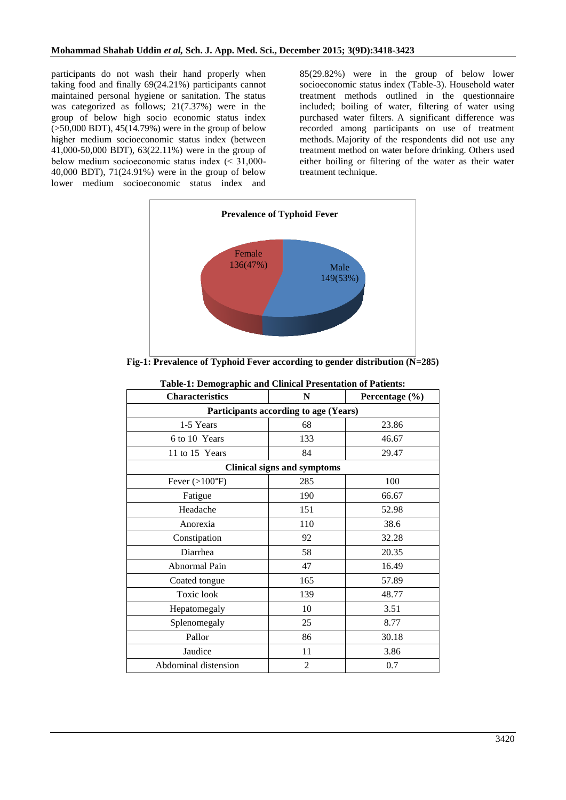participants do not wash their hand properly when taking food and finally 69(24.21%) participants cannot maintained personal hygiene or sanitation. The status was categorized as follows; 21(7.37%) were in the group of below high socio economic status index (>50,000 BDT), 45(14.79%) were in the group of below higher medium socioeconomic status index (between 41,000-50,000 BDT), 63(22.11%) were in the group of below medium socioeconomic status index  $(< 31,000$ -40,000 BDT), 71(24.91%) were in the group of below lower medium socioeconomic status index and

85(29.82%) were in the group of below lower socioeconomic status index (Table-3). Household water treatment methods outlined in the questionnaire included; boiling of water, filtering of water using purchased water filters. A significant difference was recorded among participants on use of treatment methods. Majority of the respondents did not use any treatment method on water before drinking. Others used either boiling or filtering of the water as their water treatment technique.



**Fig-1: Prevalence of Typhoid Fever according to gender distribution (N=285)**

| таліс-т. Бенюдгарніе ани спінсат і гезеніацыі ўг і айсніз. |                |                    |  |  |
|------------------------------------------------------------|----------------|--------------------|--|--|
| <b>Characteristics</b>                                     | N              | Percentage $(\% )$ |  |  |
| Participants according to age (Years)                      |                |                    |  |  |
| 1-5 Years                                                  | 68             | 23.86              |  |  |
| 6 to 10 Years                                              | 133            | 46.67              |  |  |
| 11 to 15 Years                                             | 84             | 29.47              |  |  |
| <b>Clinical signs and symptoms</b>                         |                |                    |  |  |
| Fever $(>100$ °F)                                          | 285            | 100                |  |  |
| Fatigue                                                    | 190            | 66.67              |  |  |
| Headache                                                   | 151            | 52.98              |  |  |
| Anorexia                                                   | 110            | 38.6               |  |  |
| Constipation                                               | 92             | 32.28              |  |  |
| Diarrhea                                                   | 58             | 20.35              |  |  |
| Abnormal Pain                                              | 47             | 16.49              |  |  |
| Coated tongue                                              | 165            | 57.89              |  |  |
| Toxic look                                                 | 139            | 48.77              |  |  |
| Hepatomegaly                                               | 10             | 3.51               |  |  |
| Splenomegaly                                               | 25             | 8.77               |  |  |
| Pallor                                                     | 86             | 30.18              |  |  |
| Jaudice                                                    | 11             | 3.86               |  |  |
| Abdominal distension                                       | $\overline{2}$ | 0.7                |  |  |

| <b>Table-1: Demographic and Clinical Presentation of Patients:</b> |  |  |  |  |
|--------------------------------------------------------------------|--|--|--|--|
|--------------------------------------------------------------------|--|--|--|--|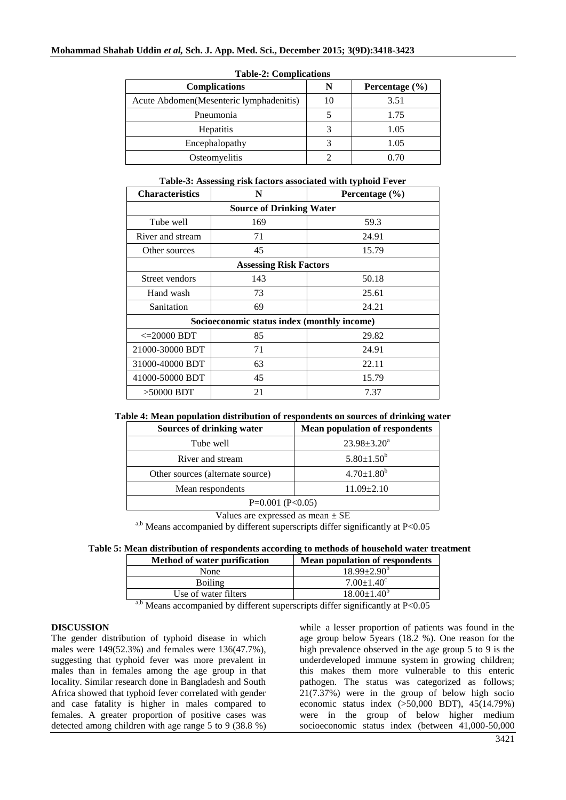| $10010 = 10011101101010$                 |    |                    |  |
|------------------------------------------|----|--------------------|--|
| <b>Complications</b>                     | N  | Percentage $(\% )$ |  |
| Acute Abdomen (Mesenteric lymphadenitis) | 10 | 3.51               |  |
| Pneumonia                                |    | 1.75               |  |
| Hepatitis                                |    | 1.05               |  |
| Encephalopathy                           |    | 1.05               |  |
| Osteomyelitis                            |    |                    |  |

#### **Table-2: Complications**

**Table-3: Assessing risk factors associated with typhoid Fever**

| <b>Characteristics</b>                      | N   | Percentage $(\% )$ |  |
|---------------------------------------------|-----|--------------------|--|
| <b>Source of Drinking Water</b>             |     |                    |  |
| Tube well                                   | 169 | 59.3               |  |
| River and stream                            | 71  | 24.91              |  |
| Other sources                               | 45  | 15.79              |  |
| <b>Assessing Risk Factors</b>               |     |                    |  |
| Street vendors                              | 143 | 50.18              |  |
| Hand wash                                   | 73  | 25.61              |  |
| Sanitation                                  | 69  | 24.21              |  |
| Socioeconomic status index (monthly income) |     |                    |  |
| $\epsilon = 20000$ BDT                      | 85  | 29.82              |  |
| 21000-30000 BDT                             | 71  | 24.91              |  |
| 31000-40000 BDT                             | 63  | 22.11              |  |
| 41000-50000 BDT                             | 45  | 15.79              |  |
| $>50000$ BDT                                | 21  | 7.37               |  |

### **Table 4: Mean population distribution of respondents on sources of drinking water**

| Sources of drinking water        | <b>Mean population of respondents</b> |
|----------------------------------|---------------------------------------|
| Tube well                        | $23.98 \pm 3.20^a$                    |
| River and stream                 | $5.80 \pm 1.50^b$                     |
| Other sources (alternate source) | $4.70 \pm 1.80^b$                     |
| Mean respondents                 | $11.09 \pm 2.10$                      |
| $P=0.001$ (P<0.05)               |                                       |

Values are expressed as mean  $\pm$  SE

a,b Means accompanied by different superscripts differ significantly at P<0.05

### **Table 5: Mean distribution of respondents according to methods of household water treatment**

| <b>Method of water purification</b> | <b>Mean population of respondents</b> |
|-------------------------------------|---------------------------------------|
| None                                | $18.99 \pm 2.90^{\rm b}$              |
| <b>Boiling</b>                      | $7.00 \pm 1.40^{\circ}$               |
| Use of water filters                | $18.00 \pm 1.40^b$                    |
|                                     | ----                                  |

a,b Means accompanied by different superscripts differ significantly at  $P<0.05$ 

## **DISCUSSION**

The gender distribution of typhoid disease in which males were 149(52.3%) and females were 136(47.7%), suggesting that typhoid fever was more prevalent in males than in females among the age group in that locality. Similar research done in Bangladesh and South Africa showed that typhoid fever correlated with gender and case fatality is higher in males compared to females. A greater proportion of positive cases was detected among children with age range 5 to 9 (38.8 %)

while a lesser proportion of patients was found in the age group below 5years (18.2 %). One reason for the high prevalence observed in the age group 5 to 9 is the underdeveloped immune system in growing children; this makes them more vulnerable to this enteric pathogen. The status was categorized as follows; 21(7.37%) were in the group of below high socio economic status index (>50,000 BDT), 45(14.79%) were in the group of below higher medium socioeconomic status index (between 41,000-50,000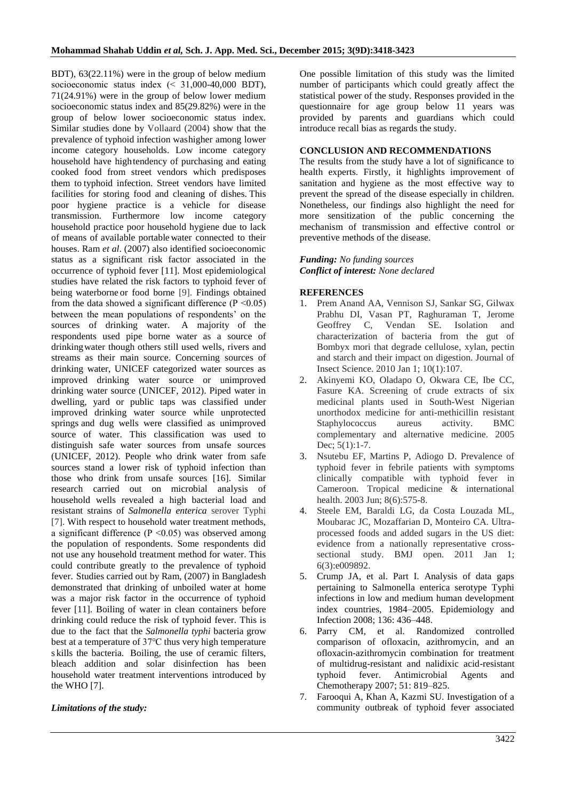BDT), 63(22.11%) were in the group of below medium socioeconomic status index (< 31,000-40,000 BDT), 71(24.91%) were in the group of below lower medium socioeconomic status index and 85(29.82%) were in the group of below lower socioeconomic status index. Similar studies done by Vollaard (2004) show that the prevalence of typhoid infection washigher among lower income category households. Low income category household have hightendency of purchasing and eating cooked food from street vendors which predisposes them to typhoid infection. Street vendors have limited facilities for storing food and cleaning of dishes. This poor hygiene practice is a vehicle for disease transmission. Furthermore low income category household practice poor household hygiene due to lack of means of available portable water connected to their houses. Ram *et al*. (2007) also identified socioeconomic status as a significant risk factor associated in the occurrence of typhoid fever [11]. Most epidemiological studies have related the risk factors to typhoid fever of being waterborne or food borne [9]. Findings obtained from the data showed a significant difference  $(P \le 0.05)$ between the mean populations of respondents' on the sources of drinking water. A majority of the respondents used pipe borne water as a source of drinkingwater though others still used wells, rivers and streams as their main source. Concerning sources of drinking water, UNICEF categorized water sources as improved drinking water source or unimproved drinking water source (UNICEF, 2012). Piped water in dwelling, yard or public taps was classified under improved drinking water source while unprotected springs and dug wells were classified as unimproved source of water. This classification was used to distinguish safe water sources from unsafe sources (UNICEF, 2012). People who drink water from safe sources stand a lower risk of typhoid infection than those who drink from unsafe sources [16]. Similar research carried out on microbial analysis of household wells revealed a high bacterial load and resistant strains of *Salmonella enterica* serover Typhi [7]. With respect to household water treatment methods, a significant difference ( $P \le 0.05$ ) was observed among the population of respondents. Some respondents did not use any household treatment method for water. This could contribute greatly to the prevalence of typhoid fever. Studies carried out by Ram, (2007) in Bangladesh demonstrated that drinking of unboiled water at home was a major risk factor in the occurrence of typhoid fever [11]. Boiling of water in clean containers before drinking could reduce the risk of typhoid fever. This is due to the fact that the *Salmonella typhi* bacteria grow best at a temperature of 37℃ thus very high temperature s kills the bacteria. Boiling, the use of ceramic filters, bleach addition and solar disinfection has been household water treatment interventions introduced by the WHO [7].

#### *Limitations of the study:*

One possible limitation of this study was the limited number of participants which could greatly affect the statistical power of the study. Responses provided in the questionnaire for age group below 11 years was provided by parents and guardians which could introduce recall bias as regards the study.

### **CONCLUSION AND RECOMMENDATIONS**

The results from the study have a lot of significance to health experts. Firstly, it highlights improvement of sanitation and hygiene as the most effective way to prevent the spread of the disease especially in children. Nonetheless, our findings also highlight the need for more sensitization of the public concerning the mechanism of transmission and effective control or preventive methods of the disease.

### *Funding: No funding sources Conflict of interest: None declared*

### **REFERENCES**

- 1. Prem Anand AA, Vennison SJ, Sankar SG, Gilwax Prabhu DI, Vasan PT, Raghuraman T, Jerome Geoffrey C, Vendan SE. Isolation and characterization of bacteria from the gut of Bombyx mori that degrade cellulose, xylan, pectin and starch and their impact on digestion. Journal of Insect Science. 2010 Jan 1; 10(1):107.
- 2. Akinyemi KO, Oladapo O, Okwara CE, Ibe CC, Fasure KA. Screening of crude extracts of six medicinal plants used in South-West Nigerian unorthodox medicine for anti-methicillin resistant Staphylococcus aureus activity. BMC complementary and alternative medicine. 2005 Dec:  $5(1):1-7$ .
- 3. Nsutebu EF, Martins P, Adiogo D. Prevalence of typhoid fever in febrile patients with symptoms clinically compatible with typhoid fever in Cameroon. Tropical medicine & international health. 2003 Jun; 8(6):575-8.
- 4. Steele EM, Baraldi LG, da Costa Louzada ML, Moubarac JC, Mozaffarian D, Monteiro CA. Ultraprocessed foods and added sugars in the US diet: evidence from a nationally representative crosssectional study. BMJ open. 2011 Jan 1; 6(3):e009892.
- 5. Crump JA, et al. Part I. Analysis of data gaps pertaining to Salmonella enterica serotype Typhi infections in low and medium human development index countries, 1984–2005. Epidemiology and Infection 2008; 136: 436–448.
- 6. Parry CM, et al. Randomized controlled comparison of ofloxacin, azithromycin, and an ofloxacin-azithromycin combination for treatment of multidrug-resistant and nalidixic acid-resistant typhoid fever. Antimicrobial Agents and Chemotherapy 2007; 51: 819–825.
- 7. Farooqui A, Khan A, Kazmi SU. Investigation of a community outbreak of typhoid fever associated